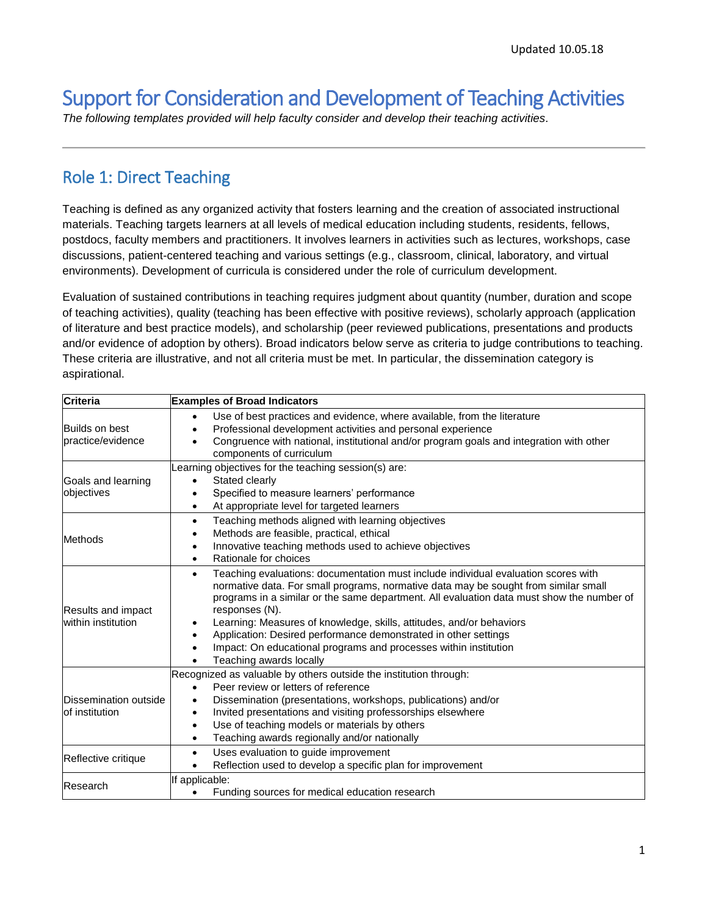# Support for Consideration and Development of Teaching Activities

*The following templates provided will help faculty consider and develop their teaching activities.*

#### Role 1: Direct Teaching

Teaching is defined as any organized activity that fosters learning and the creation of associated instructional materials. Teaching targets learners at all levels of medical education including students, residents, fellows, postdocs, faculty members and practitioners. It involves learners in activities such as lectures, workshops, case discussions, patient-centered teaching and various settings (e.g., classroom, clinical, laboratory, and virtual environments). Development of curricula is considered under the role of curriculum development.

Evaluation of sustained contributions in teaching requires judgment about quantity (number, duration and scope of teaching activities), quality (teaching has been effective with positive reviews), scholarly approach (application of literature and best practice models), and scholarship (peer reviewed publications, presentations and products and/or evidence of adoption by others). Broad indicators below serve as criteria to judge contributions to teaching. These criteria are illustrative, and not all criteria must be met. In particular, the dissemination category is aspirational.

| <b>Criteria</b>                                 | <b>Examples of Broad Indicators</b>                                                                                                                                                                                                                                                                                                                                                                                                                                                                                                                  |
|-------------------------------------------------|------------------------------------------------------------------------------------------------------------------------------------------------------------------------------------------------------------------------------------------------------------------------------------------------------------------------------------------------------------------------------------------------------------------------------------------------------------------------------------------------------------------------------------------------------|
| <b>Builds on best</b><br>practice/evidence      | Use of best practices and evidence, where available, from the literature<br>$\bullet$<br>Professional development activities and personal experience<br>Congruence with national, institutional and/or program goals and integration with other<br>components of curriculum                                                                                                                                                                                                                                                                          |
| Goals and learning<br>objectives                | earning objectives for the teaching session(s) are:<br>Stated clearly<br>Specified to measure learners' performance<br>At appropriate level for targeted learners<br>$\bullet$                                                                                                                                                                                                                                                                                                                                                                       |
| <b>Methods</b>                                  | Teaching methods aligned with learning objectives<br>$\bullet$<br>Methods are feasible, practical, ethical<br>$\bullet$<br>Innovative teaching methods used to achieve objectives<br>$\bullet$<br>Rationale for choices<br>$\bullet$                                                                                                                                                                                                                                                                                                                 |
| <b>Results and impact</b><br>within institution | Teaching evaluations: documentation must include individual evaluation scores with<br>$\bullet$<br>normative data. For small programs, normative data may be sought from similar small<br>programs in a similar or the same department. All evaluation data must show the number of<br>responses (N).<br>Learning: Measures of knowledge, skills, attitudes, and/or behaviors<br>٠<br>Application: Desired performance demonstrated in other settings<br>Impact: On educational programs and processes within institution<br>Teaching awards locally |
| Dissemination outside<br>of institution         | Recognized as valuable by others outside the institution through:<br>Peer review or letters of reference<br>Dissemination (presentations, workshops, publications) and/or<br>$\bullet$<br>Invited presentations and visiting professorships elsewhere<br>$\bullet$<br>Use of teaching models or materials by others<br>Teaching awards regionally and/or nationally<br>$\bullet$                                                                                                                                                                     |
| Reflective critique                             | Uses evaluation to guide improvement<br>$\bullet$<br>Reflection used to develop a specific plan for improvement<br>$\bullet$                                                                                                                                                                                                                                                                                                                                                                                                                         |
| Research                                        | If applicable:<br>Funding sources for medical education research                                                                                                                                                                                                                                                                                                                                                                                                                                                                                     |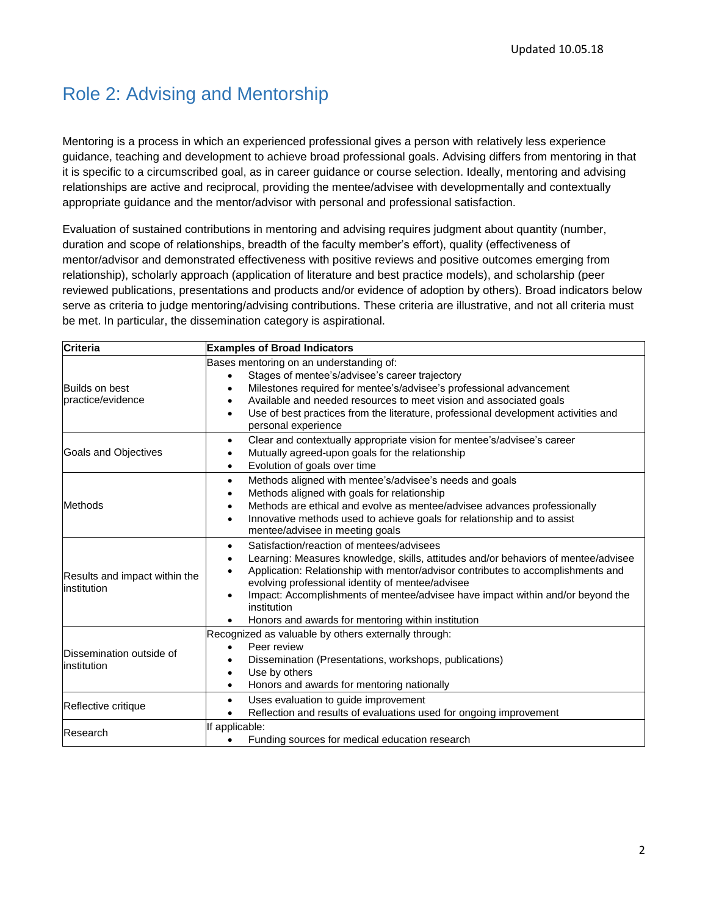### Role 2: Advising and Mentorship

Mentoring is a process in which an experienced professional gives a person with relatively less experience guidance, teaching and development to achieve broad professional goals. Advising differs from mentoring in that it is specific to a circumscribed goal, as in career guidance or course selection. Ideally, mentoring and advising relationships are active and reciprocal, providing the mentee/advisee with developmentally and contextually appropriate guidance and the mentor/advisor with personal and professional satisfaction.

Evaluation of sustained contributions in mentoring and advising requires judgment about quantity (number, duration and scope of relationships, breadth of the faculty member's effort), quality (effectiveness of mentor/advisor and demonstrated effectiveness with positive reviews and positive outcomes emerging from relationship), scholarly approach (application of literature and best practice models), and scholarship (peer reviewed publications, presentations and products and/or evidence of adoption by others). Broad indicators below serve as criteria to judge mentoring/advising contributions. These criteria are illustrative, and not all criteria must be met. In particular, the dissemination category is aspirational.

| <b>Criteria</b>                              | <b>Examples of Broad Indicators</b>                                                                                                                                                                                                                                                                                                                                                                                                                                                |
|----------------------------------------------|------------------------------------------------------------------------------------------------------------------------------------------------------------------------------------------------------------------------------------------------------------------------------------------------------------------------------------------------------------------------------------------------------------------------------------------------------------------------------------|
| <b>Builds on best</b><br>practice/evidence   | Bases mentoring on an understanding of:<br>Stages of mentee's/advisee's career trajectory<br>$\bullet$<br>Milestones required for mentee's/advisee's professional advancement<br>٠<br>Available and needed resources to meet vision and associated goals<br>$\bullet$<br>Use of best practices from the literature, professional development activities and<br>$\bullet$<br>personal experience                                                                                    |
| Goals and Objectives                         | Clear and contextually appropriate vision for mentee's/advisee's career<br>$\bullet$<br>Mutually agreed-upon goals for the relationship<br>Evolution of goals over time<br>$\bullet$                                                                                                                                                                                                                                                                                               |
| <b>Methods</b>                               | Methods aligned with mentee's/advisee's needs and goals<br>$\bullet$<br>Methods aligned with goals for relationship<br>$\bullet$<br>Methods are ethical and evolve as mentee/advisee advances professionally<br>$\bullet$<br>Innovative methods used to achieve goals for relationship and to assist<br>$\bullet$<br>mentee/advisee in meeting goals                                                                                                                               |
| Results and impact within the<br>institution | Satisfaction/reaction of mentees/advisees<br>$\bullet$<br>Learning: Measures knowledge, skills, attitudes and/or behaviors of mentee/advisee<br>$\bullet$<br>Application: Relationship with mentor/advisor contributes to accomplishments and<br>evolving professional identity of mentee/advisee<br>Impact: Accomplishments of mentee/advisee have impact within and/or beyond the<br>$\bullet$<br>institution<br>Honors and awards for mentoring within institution<br>$\bullet$ |
| Dissemination outside of<br>institution      | Recognized as valuable by others externally through:<br>Peer review<br>$\bullet$<br>Dissemination (Presentations, workshops, publications)<br>٠<br>Use by others<br>$\bullet$<br>Honors and awards for mentoring nationally<br>$\bullet$                                                                                                                                                                                                                                           |
| Reflective critique                          | Uses evaluation to guide improvement<br>$\bullet$<br>Reflection and results of evaluations used for ongoing improvement                                                                                                                                                                                                                                                                                                                                                            |
| Research                                     | If applicable:<br>Funding sources for medical education research                                                                                                                                                                                                                                                                                                                                                                                                                   |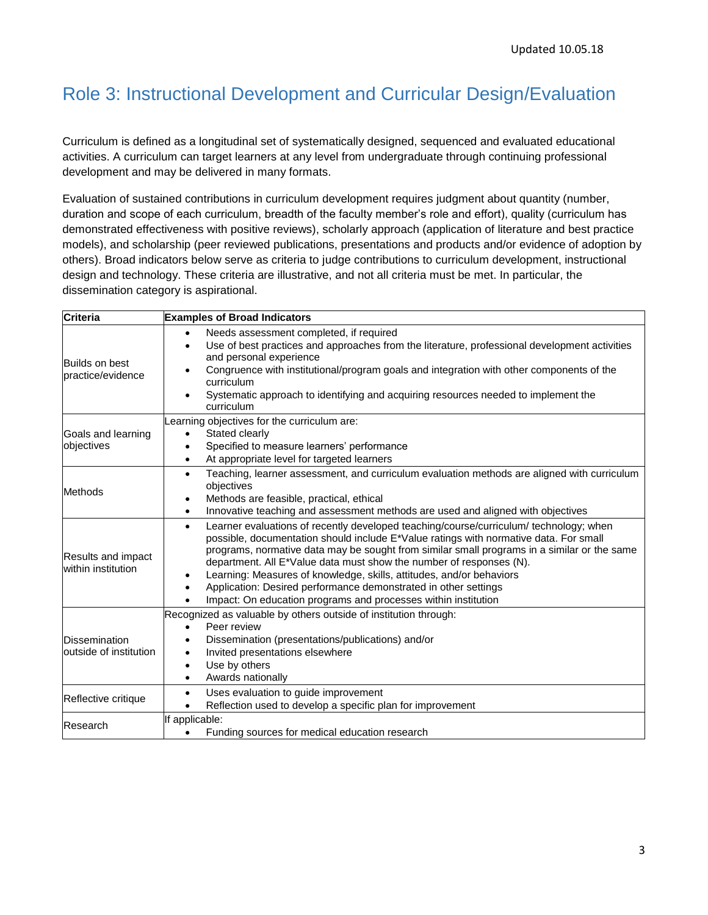## Role 3: Instructional Development and Curricular Design/Evaluation

Curriculum is defined as a longitudinal set of systematically designed, sequenced and evaluated educational activities. A curriculum can target learners at any level from undergraduate through continuing professional development and may be delivered in many formats.

Evaluation of sustained contributions in curriculum development requires judgment about quantity (number, duration and scope of each curriculum, breadth of the faculty member's role and effort), quality (curriculum has demonstrated effectiveness with positive reviews), scholarly approach (application of literature and best practice models), and scholarship (peer reviewed publications, presentations and products and/or evidence of adoption by others). Broad indicators below serve as criteria to judge contributions to curriculum development, instructional design and technology. These criteria are illustrative, and not all criteria must be met. In particular, the dissemination category is aspirational.

| <b>Criteria</b>                                 | <b>Examples of Broad Indicators</b>                                                                                                                                                                                                                                                                                                                                                                                                                                                                                                                                                                    |
|-------------------------------------------------|--------------------------------------------------------------------------------------------------------------------------------------------------------------------------------------------------------------------------------------------------------------------------------------------------------------------------------------------------------------------------------------------------------------------------------------------------------------------------------------------------------------------------------------------------------------------------------------------------------|
| <b>Builds on best</b><br>practice/evidence      | Needs assessment completed, if required<br>$\bullet$<br>Use of best practices and approaches from the literature, professional development activities<br>$\bullet$<br>and personal experience<br>Congruence with institutional/program goals and integration with other components of the<br>curriculum<br>Systematic approach to identifying and acquiring resources needed to implement the<br>curriculum                                                                                                                                                                                            |
| Goals and learning<br>objectives                | Learning objectives for the curriculum are:<br>Stated clearly<br>$\bullet$<br>Specified to measure learners' performance<br>$\bullet$<br>At appropriate level for targeted learners<br>٠                                                                                                                                                                                                                                                                                                                                                                                                               |
| Methods                                         | Teaching, learner assessment, and curriculum evaluation methods are aligned with curriculum<br>$\bullet$<br>objectives<br>Methods are feasible, practical, ethical<br>٠<br>Innovative teaching and assessment methods are used and aligned with objectives<br>٠                                                                                                                                                                                                                                                                                                                                        |
| Results and impact<br>within institution        | Learner evaluations of recently developed teaching/course/curriculum/ technology; when<br>$\bullet$<br>possible, documentation should include E*Value ratings with normative data. For small<br>programs, normative data may be sought from similar small programs in a similar or the same<br>department. All E*Value data must show the number of responses (N).<br>Learning: Measures of knowledge, skills, attitudes, and/or behaviors<br>٠<br>Application: Desired performance demonstrated in other settings<br>٠<br>Impact: On education programs and processes within institution<br>$\bullet$ |
| <b>Dissemination</b><br>loutside of institution | Recognized as valuable by others outside of institution through:<br>Peer review<br>$\bullet$<br>Dissemination (presentations/publications) and/or<br>Invited presentations elsewhere<br>$\bullet$<br>Use by others<br>$\bullet$<br>Awards nationally<br>$\bullet$                                                                                                                                                                                                                                                                                                                                      |
| Reflective critique                             | Uses evaluation to guide improvement<br>$\bullet$<br>Reflection used to develop a specific plan for improvement                                                                                                                                                                                                                                                                                                                                                                                                                                                                                        |
| Research                                        | If applicable:<br>Funding sources for medical education research<br>$\bullet$                                                                                                                                                                                                                                                                                                                                                                                                                                                                                                                          |